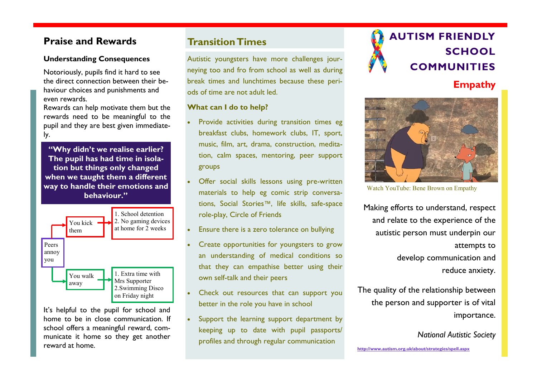## **Understanding Consequences**

Notoriously, pupils find it hard to see the direct connection between their behaviour choices and punishments and even rewards.

Rewards can help motivate them but the rewards need to be meaningful to the pupil and they are best given immediately.

**"Why didn't we realise earlier? The pupil has had time in isolation but things only changed when we taught them a different way to handle their emotions and behaviour."**



It's helpful to the pupil for school and home to be in close communication. If school offers a meaningful reward, communicate it home so they get another reward at home.

## **Transition Times**

Autistic youngsters have more challenges journeying too and fro from school as well as during break times and lunchtimes because these periods of time are not adult led.

## **What can I do to help?**

- Provide activities during transition times eg breakfast clubs, homework clubs, IT, sport, music, film, art, drama, construction, meditation, calm spaces, mentoring, peer support groups
- Offer social skills lessons using pre-written materials to help eg comic strip conversations, Social Stories™, life skills, safe-space role-play, Circle of Friends
- Ensure there is a zero tolerance on bullying
- Create opportunities for youngsters to grow an understanding of medical conditions so that they can empathise better using their own self-talk and their peers
- Check out resources that can support you better in the role you have in school
- Support the learning support department by keeping up to date with pupil passports/ profiles and through regular communication



# **Praise and Rewards AUTISM FRIENDLY SCHOOL COMMUNITIES**

## **Empathy**



Watch YouTube: Bene Brown on Empathy

Making efforts to understand, respect and relate to the experience of the autistic person must underpin our attempts to develop [communication](http://www.autism.org.uk/about/communication.aspx) and reduce [anxiety.](http://www.autism.org.uk/about/behaviour/anxiety.aspx) 

[The quality of the relationship between](http://www.autism.org.uk/about/behaviour/anxiety.aspx)  [the person and supporter is of vital](http://www.autism.org.uk/about/behaviour/anxiety.aspx)  [importance.](http://www.autism.org.uk/about/behaviour/anxiety.aspx) 

*[National Autistic Society](http://www.autism.org.uk/about/behaviour/anxiety.aspx)*

**<http://www.autism.org.uk/about/strategies/spell.aspx>**